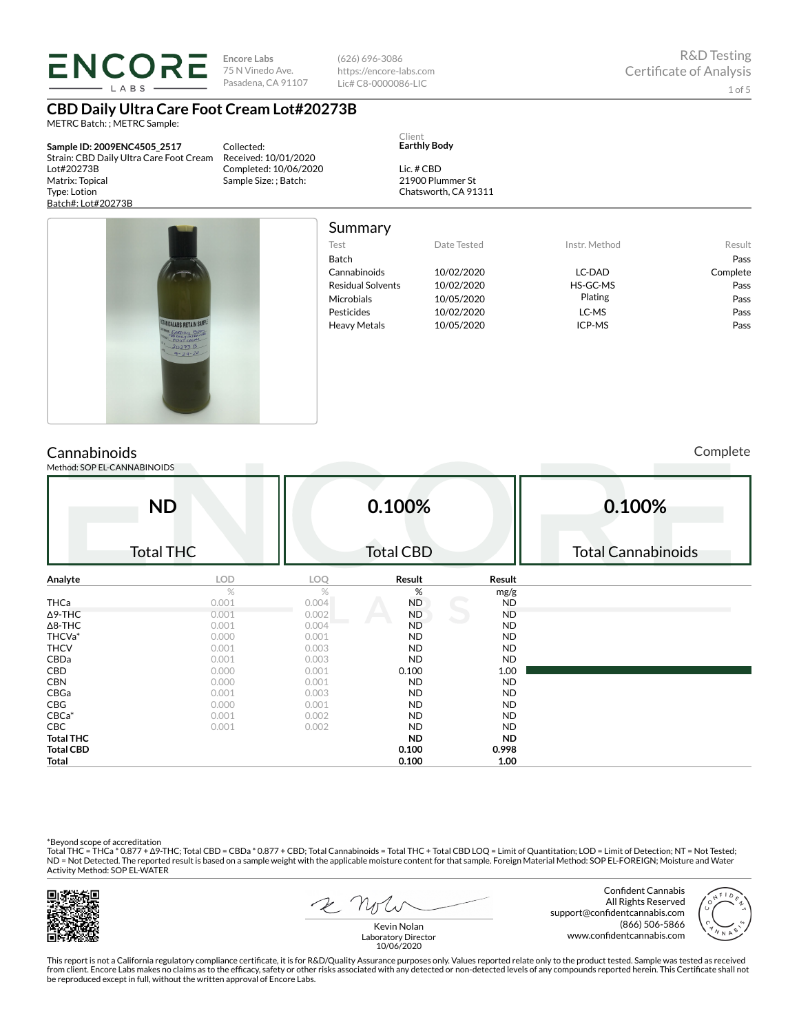LABS

**Encore Labs** 75 N Vinedo Ave. Pasadena, CA 91107 (626) 696-3086 https://encore-labs.com Lic# C8-0000086-LIC

# **CBD Daily Ultra Care Foot Cream Lot#20273B**

METRC Batch: ; METRC Sample:

**Sample ID: 2009ENC4505\_2517** Strain: CBD Daily Ultra Care Foot Cream Lot#20273B Matrix: Topical Type: Lotion Batch#: Lot#20273B

Collected: Received: 10/01/2020 Completed: 10/06/2020 Sample Size: ; Batch:

Lic. # CBD 21900 Plummer St

Client **Earthly Body**

Chatsworth, CA 91311



| Summary           |             |               |          |
|-------------------|-------------|---------------|----------|
| Test              | Date Tested | Instr. Method | Result   |
| <b>Batch</b>      |             |               | Pass     |
| Cannabinoids      | 10/02/2020  | LC-DAD        | Complete |
| Residual Solvents | 10/02/2020  | HS-GC-MS      | Pass     |
| Microbials        | 10/05/2020  | Plating       | Pass     |
| Pesticides        | 10/02/2020  | LC-MS         | Pass     |
| Heavy Metals      | 10/05/2020  | ICP-MS        | Pass     |
|                   |             |               |          |

Cannabinoids Method: SOP EL-CANNABINOIDS Complete

|                  | <b>ND</b>        |       | 0.100%           |           | 0.100%                    |
|------------------|------------------|-------|------------------|-----------|---------------------------|
|                  | <b>Total THC</b> |       | <b>Total CBD</b> |           | <b>Total Cannabinoids</b> |
| Analyte          | LOD              | LOQ   | Result           | Result    |                           |
|                  | $\%$             | %     | %                | mg/g      |                           |
| THCa             | 0.001            | 0.004 | <b>ND</b>        | <b>ND</b> |                           |
| ∆9-THC           | 0.001            | 0.002 | <b>ND</b>        | <b>ND</b> |                           |
| ∆8-THC           | 0.001            | 0.004 | <b>ND</b>        | <b>ND</b> |                           |
| THCVa*           | 0.000            | 0.001 | <b>ND</b>        | <b>ND</b> |                           |
| THCV             | 0.001            | 0.003 | <b>ND</b>        | <b>ND</b> |                           |
| CBDa             | 0.001            | 0.003 | <b>ND</b>        | <b>ND</b> |                           |
| CBD              | 0.000            | 0.001 | 0.100            | 1.00      |                           |
| CBN              | 0.000            | 0.001 | <b>ND</b>        | <b>ND</b> |                           |
| CBGa             | 0.001            | 0.003 | <b>ND</b>        | <b>ND</b> |                           |
| CBG              | 0.000            | 0.001 | <b>ND</b>        | <b>ND</b> |                           |
| $CBCa*$          | 0.001            | 0.002 | <b>ND</b>        | <b>ND</b> |                           |
| CBC              | 0.001            | 0.002 | <b>ND</b>        | <b>ND</b> |                           |
| Total THC        |                  |       | <b>ND</b>        | <b>ND</b> |                           |
| <b>Total CBD</b> |                  |       | 0.100            | 0.998     |                           |
| Total            |                  |       | 0.100            | 1.00      |                           |

\*Beyond scope of accreditation<br>Total THC = THCa \* 0.877 + ∆9-THC; Total CBD = CBDa \* 0.877 + CBD; Total Cannabinoids = Total THC + Total CBD LOQ = Limit of Quantitation; LOD = Limit of Detection; NT = Not Tested; ND = Not Detected. The reported result is based on a sample weight with the applicable moisture content for that sample. Foreign Material Method: SOP EL-FOREIGN; Moisture and Water Activity Method: SOP EL-WATER



2 Note

Confident Cannabis All Rights Reserved support@confidentcannabis.com (866) 506-5866 www.confidentcannabis.com



Kevin Nolan Laboratory Director 10/06/2020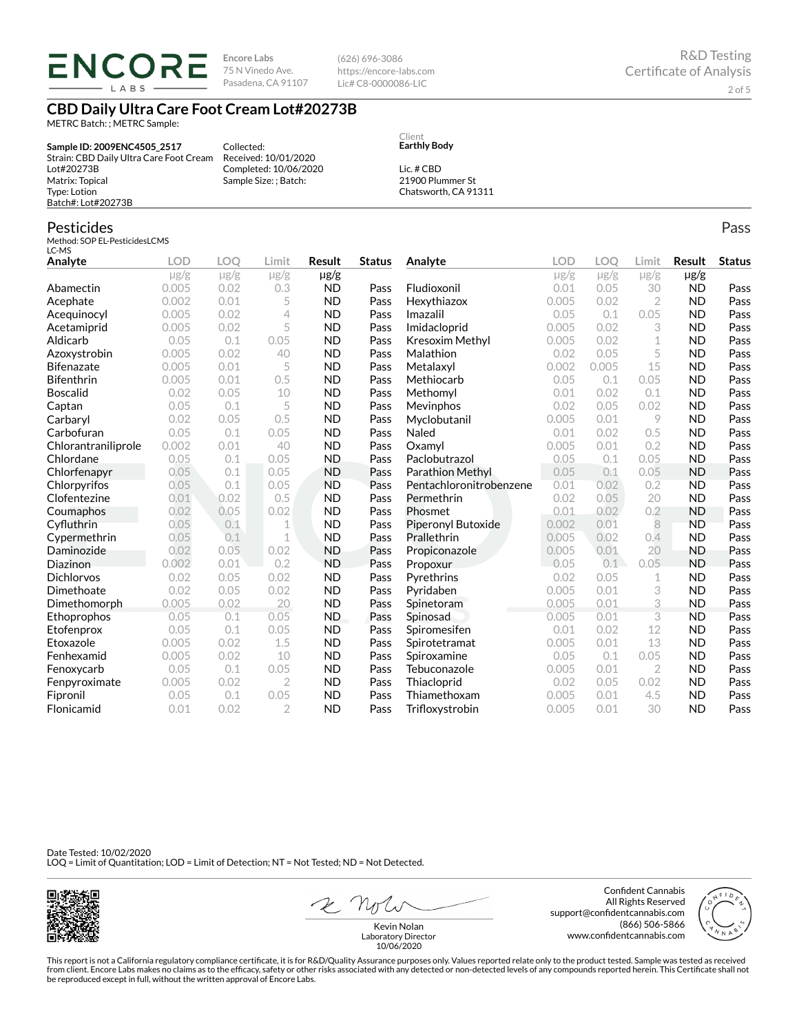**ENCORE** LABS

**Encore Labs** 75 N Vinedo Ave. Pasadena, CA 91107

Received: 10/01/2020 Completed: 10/06/2020 Sample Size: ; Batch:

Collected:

(626) 696-3086 https://encore-labs.com Lic# C8-0000086-LIC

> Client **Earthly Body** Lic. # CBD 21900 Plummer St Chatsworth, CA 91311

# **CBD Daily Ultra Care Foot Cream Lot#20273B**

METRC Batch: ; METRC Sample:

**Sample ID: 2009ENC4505\_2517** Strain: CBD Daily Ultra Care Foot Cream Lot#20273B Matrix: Topical Type: Lotion Batch#: Lot#20273B

## Pesticides

Method: SOP EL-PesticidesLCMS LC-MS

| LC-MD               |            |           |                |           |               |                         |           |           |                |           |               |
|---------------------|------------|-----------|----------------|-----------|---------------|-------------------------|-----------|-----------|----------------|-----------|---------------|
| Analyte             | <b>LOD</b> | LOO       | Limit          | Result    | <b>Status</b> | Analyte                 | LOD       | LOO       | Limit          | Result    | <b>Status</b> |
|                     | $\mu$ g/g  | $\mu$ g/g | $\mu$ g/g      | µg/g      |               |                         | $\mu$ g/g | $\mu$ g/g | $\mu$ g/g      | $\mu$ g/g |               |
| Abamectin           | 0.005      | 0.02      | 0.3            | <b>ND</b> | Pass          | Fludioxonil             | 0.01      | 0.05      | 30             | <b>ND</b> | Pass          |
| Acephate            | 0.002      | 0.01      | 5              | <b>ND</b> | Pass          | Hexythiazox             | 0.005     | 0.02      | $\overline{2}$ | <b>ND</b> | Pass          |
| Acequinocyl         | 0.005      | 0.02      | 4              | <b>ND</b> | Pass          | Imazalil                | 0.05      | 0.1       | 0.05           | <b>ND</b> | Pass          |
| Acetamiprid         | 0.005      | 0.02      | 5              | <b>ND</b> | Pass          | Imidacloprid            | 0.005     | 0.02      | 3              | <b>ND</b> | Pass          |
| Aldicarb            | 0.05       | 0.1       | 0.05           | <b>ND</b> | Pass          | Kresoxim Methyl         | 0.005     | 0.02      | 1              | <b>ND</b> | Pass          |
| Azoxystrobin        | 0.005      | 0.02      | 40             | <b>ND</b> | Pass          | Malathion               | 0.02      | 0.05      | 5              | <b>ND</b> | Pass          |
| <b>Bifenazate</b>   | 0.005      | 0.01      | 5              | <b>ND</b> | Pass          | Metalaxyl               | 0.002     | 0.005     | 15             | <b>ND</b> | Pass          |
| <b>Bifenthrin</b>   | 0.005      | 0.01      | 0.5            | <b>ND</b> | Pass          | Methiocarb              | 0.05      | 0.1       | 0.05           | <b>ND</b> | Pass          |
| <b>Boscalid</b>     | 0.02       | 0.05      | 10             | <b>ND</b> | Pass          | Methomyl                | 0.01      | 0.02      | 0.1            | <b>ND</b> | Pass          |
| Captan              | 0.05       | 0.1       | 5              | <b>ND</b> | Pass          | Mevinphos               | 0.02      | 0.05      | 0.02           | <b>ND</b> | Pass          |
| Carbaryl            | 0.02       | 0.05      | 0.5            | <b>ND</b> | Pass          | Myclobutanil            | 0.005     | 0.01      | 9              | <b>ND</b> | Pass          |
| Carbofuran          | 0.05       | 0.1       | 0.05           | <b>ND</b> | Pass          | Naled                   | 0.01      | 0.02      | 0.5            | <b>ND</b> | Pass          |
| Chlorantraniliprole | 0.002      | 0.01      | 40             | <b>ND</b> | Pass          | Oxamyl                  | 0.005     | 0.01      | 0.2            | <b>ND</b> | Pass          |
| Chlordane           | 0.05       | 0.1       | 0.05           | <b>ND</b> | Pass          | Paclobutrazol           | 0.05      | 0.1       | 0.05           | <b>ND</b> | Pass          |
| Chlorfenapyr        | 0.05       | 0.1       | 0.05           | <b>ND</b> | Pass          | <b>Parathion Methyl</b> | 0.05      | 0.1       | 0.05           | <b>ND</b> | Pass          |
| Chlorpyrifos        | 0.05       | 0.1       | 0.05           | <b>ND</b> | Pass          | Pentachloronitrobenzene | 0.01      | 0.02      | 0.2            | <b>ND</b> | Pass          |
| Clofentezine        | 0.01       | 0.02      | 0.5            | <b>ND</b> | Pass          | Permethrin              | 0.02      | 0.05      | 20             | <b>ND</b> | Pass          |
| Coumaphos           | 0.02       | 0.05      | 0.02           | <b>ND</b> | Pass          | Phosmet                 | 0.01      | 0.02      | 0.2            | <b>ND</b> | Pass          |
| Cyfluthrin          | 0.05       | 0.1       | 1              | <b>ND</b> | Pass          | Piperonyl Butoxide      | 0.002     | 0.01      | 8              | <b>ND</b> | Pass          |
| Cypermethrin        | 0.05       | 0.1       | 1              | <b>ND</b> | Pass          | Prallethrin             | 0.005     | 0.02      | 0.4            | <b>ND</b> | Pass          |
| Daminozide          | 0.02       | 0.05      | 0.02           | <b>ND</b> | Pass          | Propiconazole           | 0.005     | 0.01      | 20             | <b>ND</b> | Pass          |
| Diazinon            | 0.002      | 0.01      | 0.2            | <b>ND</b> | Pass          | Propoxur                | 0.05      | 0.1       | 0.05           | <b>ND</b> | Pass          |
| <b>Dichlorvos</b>   | 0.02       | 0.05      | 0.02           | <b>ND</b> | Pass          | Pyrethrins              | 0.02      | 0.05      | 1              | <b>ND</b> | Pass          |
| Dimethoate          | 0.02       | 0.05      | 0.02           | <b>ND</b> | Pass          | Pyridaben               | 0.005     | 0.01      | 3              | <b>ND</b> | Pass          |
| Dimethomorph        | 0.005      | 0.02      | 20             | <b>ND</b> | Pass          | Spinetoram              | 0.005     | 0.01      | 3              | <b>ND</b> | Pass          |
| Ethoprophos         | 0.05       | 0.1       | 0.05           | <b>ND</b> | Pass          | Spinosad                | 0.005     | 0.01      | 3              | <b>ND</b> | Pass          |
| Etofenprox          | 0.05       | 0.1       | 0.05           | <b>ND</b> | Pass          | Spiromesifen            | 0.01      | 0.02      | 12             | <b>ND</b> | Pass          |
| Etoxazole           | 0.005      | 0.02      | 1.5            | <b>ND</b> | Pass          | Spirotetramat           | 0.005     | 0.01      | 13             | <b>ND</b> | Pass          |
| Fenhexamid          | 0.005      | 0.02      | 10             | <b>ND</b> | Pass          | Spiroxamine             | 0.05      | 0.1       | 0.05           | <b>ND</b> | Pass          |
| Fenoxycarb          | 0.05       | 0.1       | 0.05           | <b>ND</b> | Pass          | Tebuconazole            | 0.005     | 0.01      | $\overline{2}$ | <b>ND</b> | Pass          |
| Fenpyroximate       | 0.005      | 0.02      | $\overline{2}$ | <b>ND</b> | Pass          | Thiacloprid             | 0.02      | 0.05      | 0.02           | <b>ND</b> | Pass          |
| Fipronil            | 0.05       | 0.1       | 0.05           | <b>ND</b> | Pass          | Thiamethoxam            | 0.005     | 0.01      | 4.5            | <b>ND</b> | Pass          |
| Flonicamid          | 0.01       | 0.02      | $\overline{2}$ | <b>ND</b> | Pass          | Trifloxystrobin         | 0.005     | 0.01      | 30             | <b>ND</b> | Pass          |

Date Tested: 10/02/2020 LOQ = Limit of Quantitation; LOD = Limit of Detection; NT = Not Tested; ND = Not Detected.



2 Note

Confident Cannabis All Rights Reserved support@confidentcannabis.com (866) 506-5866 www.confidentcannabis.com



Kevin Nolan Laboratory Director 10/06/2020

This report is not a California regulatory compliance certificate, it is for R&D/Quality Assurance purposes only. Values reported relate only to the product tested. Sample was tested as received from client. Encore Labs makes no claims as to the efficacy, safety or other risks associated with any detected or non-detected levels of any compounds reported herein. This Certificate shall not<br>be reproduced except in fu

Pass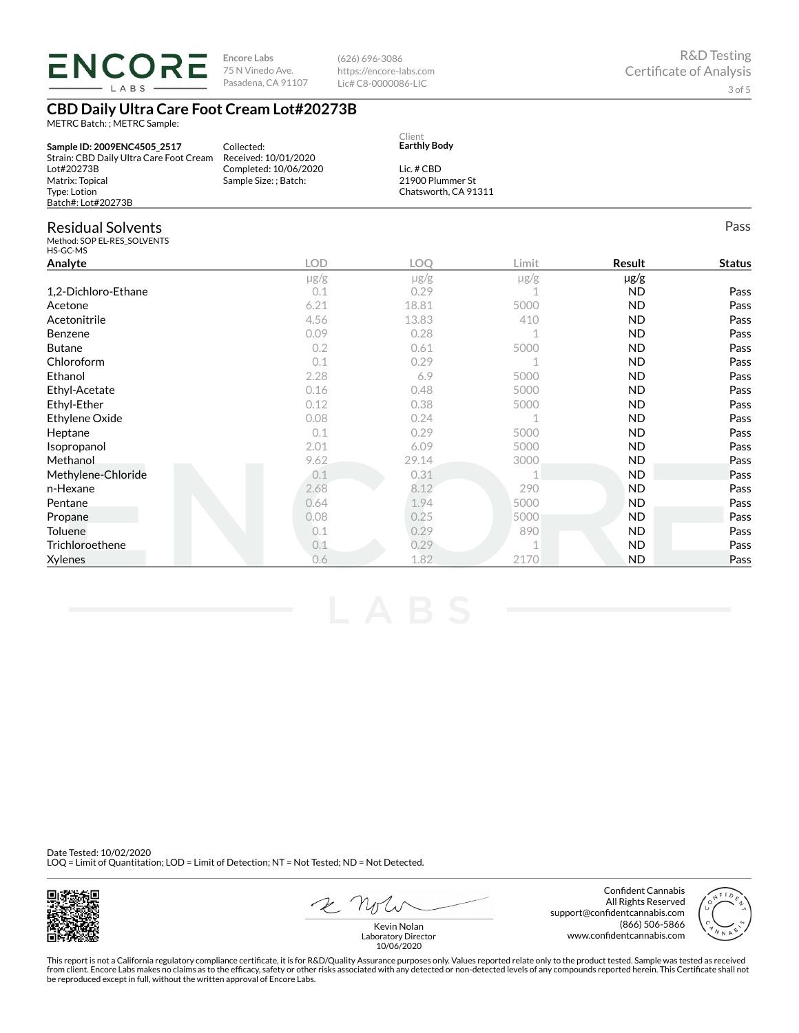| IV (<br>LABS                                                                      | 75 N Vinedo Ave.<br>Pasadena, CA 91107         | https://encore-labs.com<br>Lic# C8-0000086-LIC |                                          |               | <b>Certificate of Analysis</b><br>3 of 5 |  |  |  |  |  |
|-----------------------------------------------------------------------------------|------------------------------------------------|------------------------------------------------|------------------------------------------|---------------|------------------------------------------|--|--|--|--|--|
| <b>CBD Daily Ultra Care Foot Cream Lot#20273B</b><br>METRC Batch: ; METRC Sample: |                                                |                                                |                                          |               |                                          |  |  |  |  |  |
| Sample ID: 2009ENC4505_2517<br>Strain: CBD Daily Ultra Care Foot Cream            | Collected:<br>Received: 10/01/2020             | Client<br><b>Earthly Body</b>                  |                                          |               |                                          |  |  |  |  |  |
| Lot#20273B<br>Matrix: Topical<br>Type: Lotion<br>Batch#: Lot#20273B               | Completed: 10/06/2020<br>Sample Size: ; Batch: | Lic. # CBD                                     | 21900 Plummer St<br>Chatsworth, CA 91311 |               |                                          |  |  |  |  |  |
| <b>Residual Solvents</b><br>Method: SOP EL-RES SOLVENTS<br>HS-GC-MS               |                                                |                                                |                                          |               | Pass                                     |  |  |  |  |  |
| Analyte                                                                           | <b>LOD</b>                                     | <b>LOO</b>                                     | Limit                                    | <b>Result</b> | <b>Status</b>                            |  |  |  |  |  |
|                                                                                   | $\mu$ g/g                                      | $\mu$ g/g                                      | $\mu$ g/g                                | $\mu$ g/g     |                                          |  |  |  |  |  |
| 1,2-Dichloro-Ethane                                                               | 0.1                                            | 0.29                                           |                                          | <b>ND</b>     | Pass                                     |  |  |  |  |  |
| Acetone                                                                           | 6.21                                           | 18.81                                          | 5000                                     | <b>ND</b>     | Pass                                     |  |  |  |  |  |
| Acetonitrile                                                                      | 4.56                                           | 13.83                                          | 410                                      | <b>ND</b>     | Pass                                     |  |  |  |  |  |
| Benzene                                                                           | 0.09                                           | 0.28                                           | 1                                        | <b>ND</b>     | Pass                                     |  |  |  |  |  |
| <b>Butane</b>                                                                     | 0.2                                            | 0.61                                           | 5000                                     | <b>ND</b>     | Pass                                     |  |  |  |  |  |
| Chloroform                                                                        | 0.1                                            | 0.29                                           |                                          | <b>ND</b>     | Pass                                     |  |  |  |  |  |
| Ethanol                                                                           | 2.28                                           | 6.9                                            | 5000                                     | <b>ND</b>     | Pass                                     |  |  |  |  |  |
| Ethyl-Acetate                                                                     | 0.16                                           | 0.48                                           | 5000                                     | <b>ND</b>     | Pass                                     |  |  |  |  |  |
| Ethyl-Ether                                                                       | 0.12                                           | 0.38                                           | 5000                                     | <b>ND</b>     | Pass                                     |  |  |  |  |  |
| Ethylene Oxide                                                                    | 0.08                                           | 0.24                                           |                                          | <b>ND</b>     | Pass                                     |  |  |  |  |  |
| Heptane                                                                           | 0.1                                            | 0.29                                           | 5000                                     | <b>ND</b>     | Pass                                     |  |  |  |  |  |
| Isopropanol                                                                       | 2.01                                           | 6.09                                           | 5000                                     | <b>ND</b>     | Pass                                     |  |  |  |  |  |
| Methanol                                                                          | 9.62                                           | 29.14                                          | 3000                                     | <b>ND</b>     | Pass                                     |  |  |  |  |  |
| Methylene-Chloride                                                                | 0.1                                            | 0.31                                           |                                          | <b>ND</b>     | Pass                                     |  |  |  |  |  |
| n-Hexane                                                                          | 2.68                                           | 8.12                                           | 290                                      | <b>ND</b>     | Pass                                     |  |  |  |  |  |
| Pentane                                                                           | 0.64                                           | 1.94                                           | 5000                                     | <b>ND</b>     | Pass                                     |  |  |  |  |  |
| Propane                                                                           | 0.08                                           | 0.25                                           | 5000                                     | <b>ND</b>     | Pass                                     |  |  |  |  |  |

(626) 696-3086

Toluene 0.1 0.29 890 ND Pass **Trichloroethene** 0.1 0.29 1 ND Pass<br>
2170 ND Pass<br>
2170 ND Pass Xylenes 0.6 1.82 2170 ND Pass

Date Tested: 10/02/2020 LOQ = Limit of Quantitation; LOD = Limit of Detection; NT = Not Tested; ND = Not Detected.

**ENCORE** *Encore Labs* 



 $2N$ 

Confident Cannabis All Rights Reserved support@confidentcannabis.com (866) 506-5866 www.confidentcannabis.com



R&D Testing

Kevin Nolan Laboratory Director 10/06/2020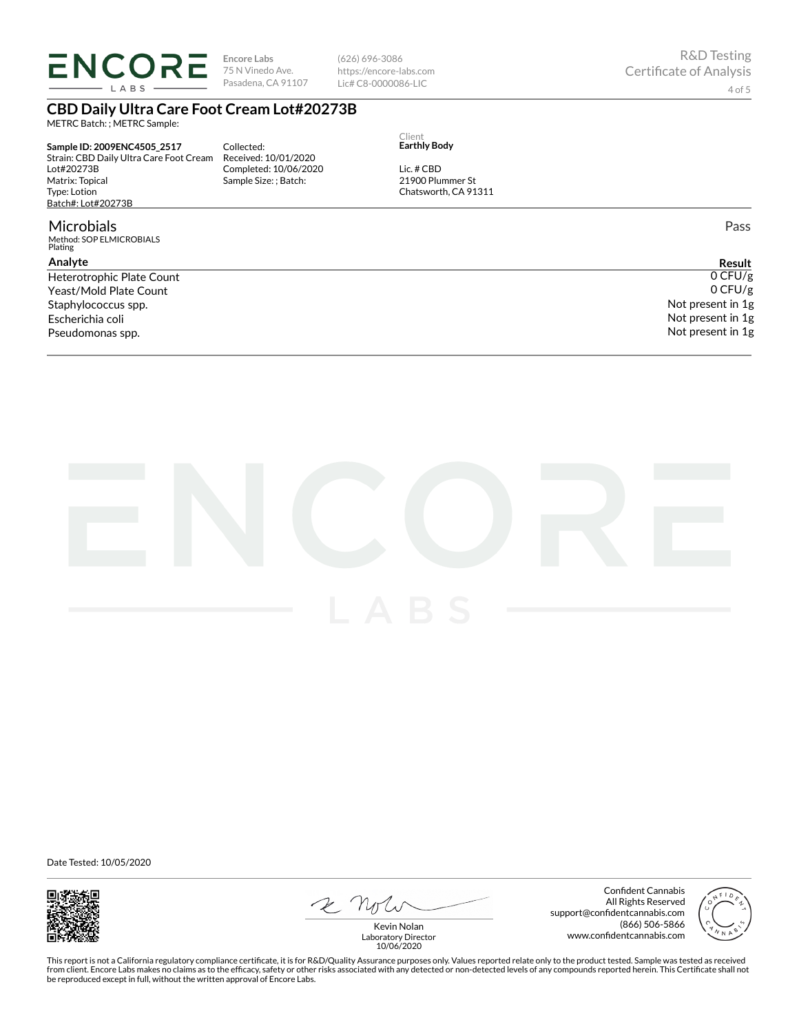**ENCORE** LABS

**Encore Labs** 75 N Vinedo Ave. Pasadena, CA 91107

(626) 696-3086 https://encore-labs.com Lic# C8-0000086-LIC

# **CBD Daily Ultra Care Foot Cream Lot#20273B**

METRC Batch: ; METRC Sample:

**Sample ID: 2009ENC4505\_2517** Strain: CBD Daily Ultra Care Foot Cream Lot#20273B Matrix: Topical Type: Lotion Batch#: Lot#20273B

#### Microbials

Method: SOP ELMICROBIALS Plating

### **Analyte**

Yeast/Mold Plate Count Staphylococcus spp. Escherichia coli Pseudomonas spp.

Collected: Received: 10/01/2020 Completed: 10/06/2020 Sample Size: ; Batch:

Client **Earthly Body**

Lic. # CBD 21900 Plummer St Chatsworth, CA 91311

Pass

**Result** Heterotrophic Plate Count  $0$  CFU/g 0 CFU/g Not present in 1g Not present in 1g Not present in 1g



Date Tested: 10/05/2020



E note

Confident Cannabis All Rights Reserved support@confidentcannabis.com (866) 506-5866 www.confidentcannabis.com



Kevin Nolan Laboratory Director 10/06/2020